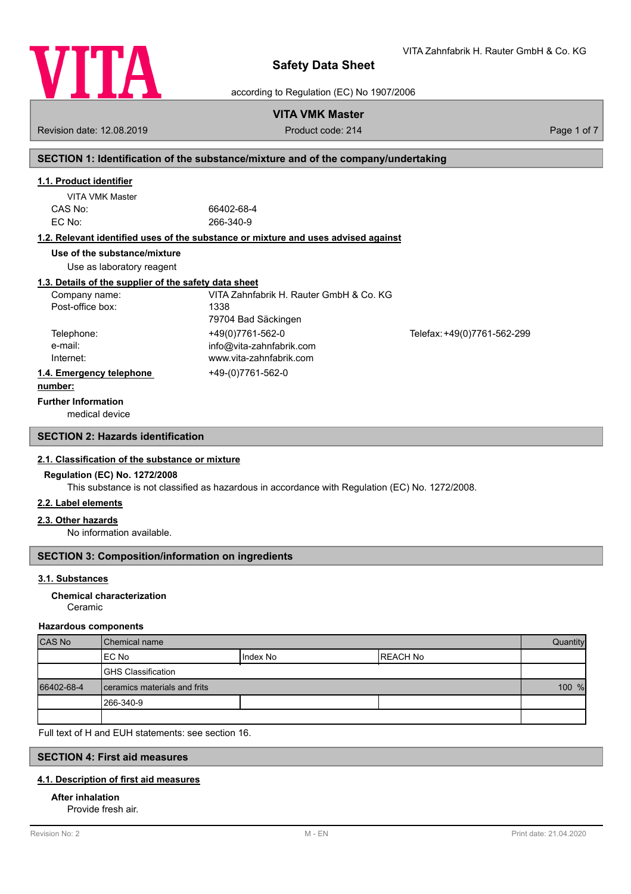

VITA Zahnfabrik H. Rauter GmbH & Co. KG

according to Regulation (EC) No 1907/2006

## **VITA VMK Master**

Revision date: 12.08.2019 **Product code: 214** Product code: 214 **Page 1 of 7** Page 1 of 7

## **SECTION 1: Identification of the substance/mixture and of the company/undertaking**

### **1.1. Product identifier**

| VITA VMK Master |            |
|-----------------|------------|
| CAS No:         | 66402-68-4 |
| EC No:          | 266-340-9  |

#### **1.2. Relevant identified uses of the substance or mixture and uses advised against**

**Use of the substance/mixture**

Use as laboratory reagent

#### **1.3. Details of the supplier of the safety data sheet**

| Company name:            | VITA Zahnfabrik H. Rauter GmbH & Co. KG |                             |
|--------------------------|-----------------------------------------|-----------------------------|
| Post-office box:         | 1338                                    |                             |
|                          | 79704 Bad Säckingen                     |                             |
| Telephone:               | +49(0)7761-562-0                        | Telefax: +49(0)7761-562-299 |
| e-mail:                  | info@vita-zahnfabrik.com                |                             |
| Internet:                | www.vita-zahnfabrik.com                 |                             |
| 1.4. Emergency telephone | +49-(0)7761-562-0                       |                             |
| . 1.                     |                                         |                             |

#### **number:**

**Further Information**

medical device

### **SECTION 2: Hazards identification**

#### **2.1. Classification of the substance or mixture**

#### **Regulation (EC) No. 1272/2008**

This substance is not classified as hazardous in accordance with Regulation (EC) No. 1272/2008.

### **2.2. Label elements**

#### **2.3. Other hazards**

No information available.

## **SECTION 3: Composition/information on ingredients**

#### **3.1. Substances**

#### Ceramic **Chemical characterization**

#### **Hazardous components**

| <b>CAS No</b> | l Chemical name              |            | Quantity  |  |
|---------------|------------------------------|------------|-----------|--|
|               | IEC No                       | I Index No | IREACH No |  |
|               | <b>GHS Classification</b>    |            |           |  |
| 66402-68-4    | ceramics materials and frits |            | 100 %     |  |
|               | 1266-340-9                   |            |           |  |
|               |                              |            |           |  |

Full text of H and EUH statements: see section 16.

### **SECTION 4: First aid measures**

#### **4.1. Description of first aid measures**

#### **After inhalation**

Provide fresh air.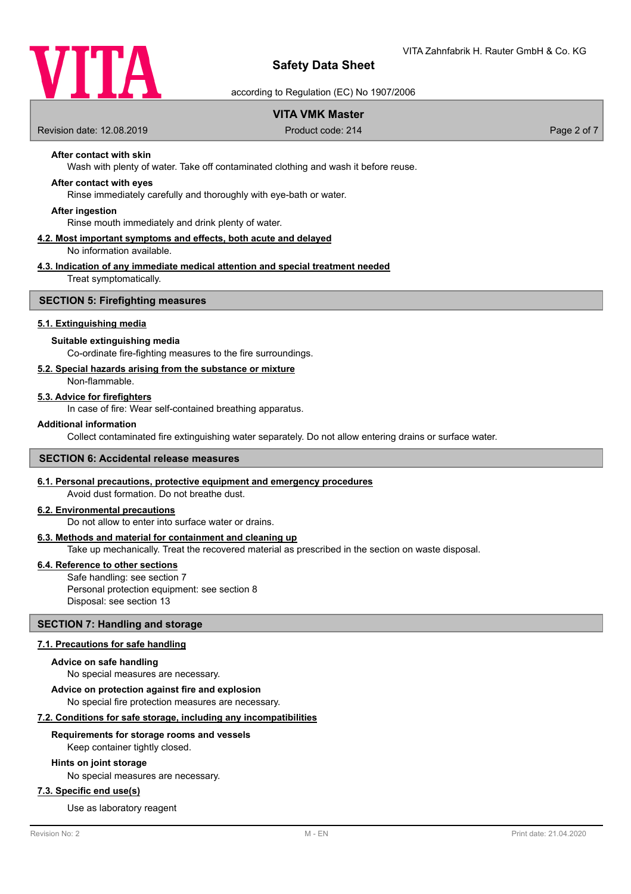

according to Regulation (EC) No 1907/2006

## **VITA VMK Master**

Revision date: 12.08.2019 **Product code: 214** Product code: 214 **Page 2 of 7** Page 2 of 7

## **After contact with skin**

Wash with plenty of water. Take off contaminated clothing and wash it before reuse.

#### **After contact with eyes**

Rinse immediately carefully and thoroughly with eye-bath or water.

#### **After ingestion**

Rinse mouth immediately and drink plenty of water.

#### **4.2. Most important symptoms and effects, both acute and delayed** No information available.

## **4.3. Indication of any immediate medical attention and special treatment needed**

Treat symptomatically.

#### **SECTION 5: Firefighting measures**

#### **5.1. Extinguishing media**

#### **Suitable extinguishing media**

Co-ordinate fire-fighting measures to the fire surroundings.

#### **5.2. Special hazards arising from the substance or mixture**

Non-flammable.

#### **5.3. Advice for firefighters**

In case of fire: Wear self-contained breathing apparatus.

#### **Additional information**

Collect contaminated fire extinguishing water separately. Do not allow entering drains or surface water.

#### **SECTION 6: Accidental release measures**

#### **6.1. Personal precautions, protective equipment and emergency procedures**

Avoid dust formation. Do not breathe dust.

### **6.2. Environmental precautions**

Do not allow to enter into surface water or drains.

#### **6.3. Methods and material for containment and cleaning up**

Take up mechanically. Treat the recovered material as prescribed in the section on waste disposal.

#### **6.4. Reference to other sections**

Safe handling: see section 7 Personal protection equipment: see section 8 Disposal: see section 13

#### **SECTION 7: Handling and storage**

#### **7.1. Precautions for safe handling**

#### **Advice on safe handling**

No special measures are necessary.

**Advice on protection against fire and explosion**

No special fire protection measures are necessary.

### **7.2. Conditions for safe storage, including any incompatibilities**

#### **Requirements for storage rooms and vessels**

Keep container tightly closed.

#### **Hints on joint storage**

No special measures are necessary.

### **7.3. Specific end use(s)**

Use as laboratory reagent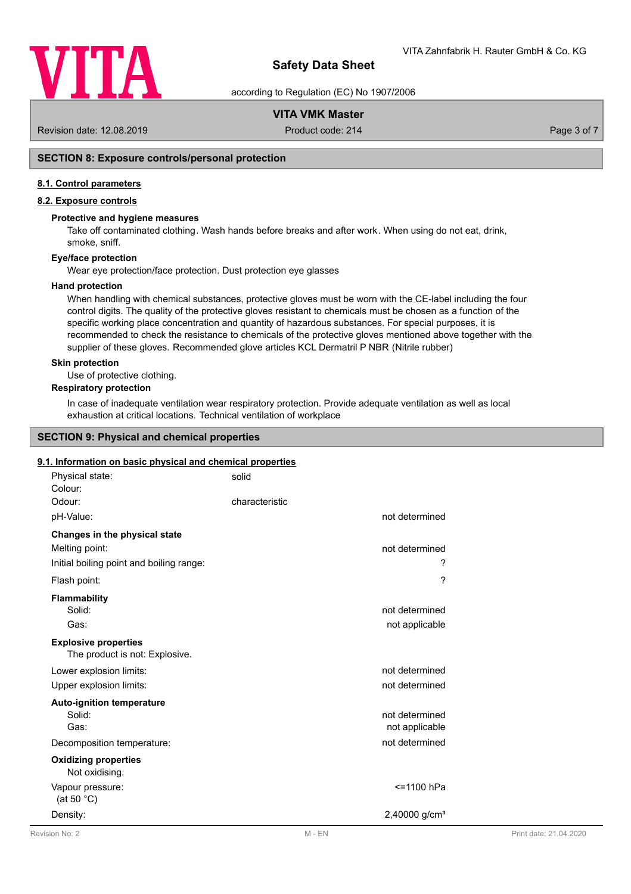

according to Regulation (EC) No 1907/2006

## **VITA VMK Master**

Revision date: 12.08.2019 **Product code: 214** Product code: 214 **Page 3 of 7** Page 3 of 7

## **SECTION 8: Exposure controls/personal protection**

#### **8.1. Control parameters**

### **8.2. Exposure controls**

#### **Protective and hygiene measures**

Take off contaminated clothing. Wash hands before breaks and after work. When using do not eat, drink, smoke, sniff.

#### **Eye/face protection**

Wear eye protection/face protection. Dust protection eye glasses

#### **Hand protection**

When handling with chemical substances, protective gloves must be worn with the CE-label including the four control digits. The quality of the protective gloves resistant to chemicals must be chosen as a function of the specific working place concentration and quantity of hazardous substances. For special purposes, it is recommended to check the resistance to chemicals of the protective gloves mentioned above together with the supplier of these gloves. Recommended glove articles KCL Dermatril P NBR (Nitrile rubber)

#### **Skin protection**

Use of protective clothing.

## **Respiratory protection**

In case of inadequate ventilation wear respiratory protection. Provide adequate ventilation as well as local exhaustion at critical locations. Technical ventilation of workplace

#### **SECTION 9: Physical and chemical properties**

#### **9.1. Information on basic physical and chemical properties**

| Physical state:<br>Colour:                                                                  | solid                            |
|---------------------------------------------------------------------------------------------|----------------------------------|
| Odour:                                                                                      | characteristic                   |
| pH-Value:                                                                                   | not determined                   |
| Changes in the physical state<br>Melting point:<br>Initial boiling point and boiling range: | not determined<br>?              |
| Flash point:                                                                                | ?                                |
| <b>Flammability</b><br>Solid:<br>Gas:                                                       | not determined<br>not applicable |
| <b>Explosive properties</b><br>The product is not: Explosive.                               |                                  |
| Lower explosion limits:                                                                     | not determined                   |
| Upper explosion limits:                                                                     | not determined                   |
| <b>Auto-ignition temperature</b><br>Solid:<br>Gas:                                          | not determined<br>not applicable |
| Decomposition temperature:                                                                  | not determined                   |
| <b>Oxidizing properties</b><br>Not oxidising.                                               |                                  |
| Vapour pressure:<br>(at 50 $^{\circ}$ C)                                                    | <=1100 hPa                       |
| Density:                                                                                    | 2,40000 g/cm <sup>3</sup>        |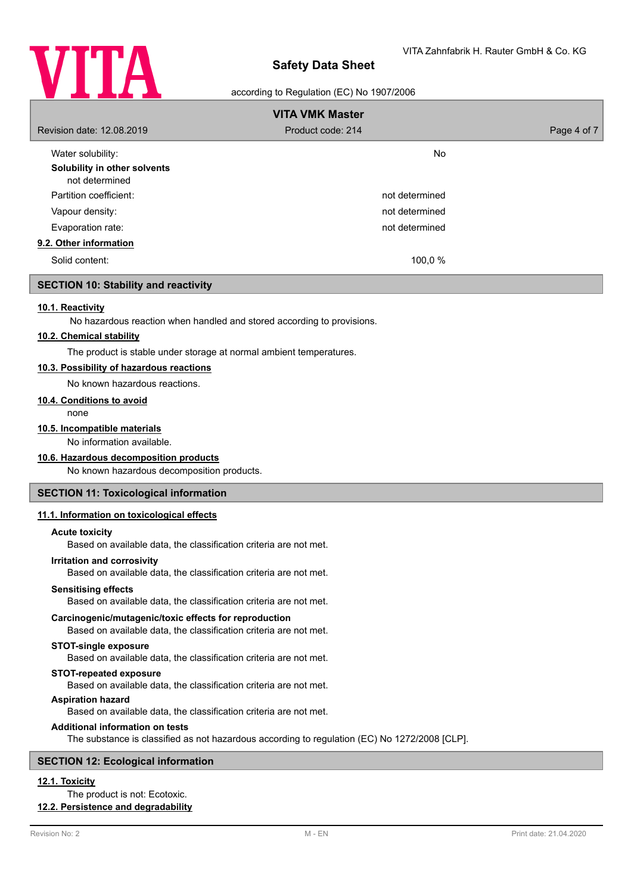

#### according to Regulation (EC) No 1907/2006

| <b>VITA VMK Master</b>                         |                   |             |
|------------------------------------------------|-------------------|-------------|
| Revision date: 12.08.2019                      | Product code: 214 | Page 4 of 7 |
| Water solubility:                              | <b>No</b>         |             |
| Solubility in other solvents<br>not determined |                   |             |
| Partition coefficient:                         | not determined    |             |
| Vapour density:                                | not determined    |             |
| Evaporation rate:                              | not determined    |             |
| 9.2. Other information                         |                   |             |
| Solid content:                                 | 100,0 %           |             |

### **SECTION 10: Stability and reactivity**

#### **10.1. Reactivity**

No hazardous reaction when handled and stored according to provisions.

#### **10.2. Chemical stability**

The product is stable under storage at normal ambient temperatures.

### **10.3. Possibility of hazardous reactions**

No known hazardous reactions.

#### **10.4. Conditions to avoid**

none

#### **10.5. Incompatible materials**

No information available.

#### **10.6. Hazardous decomposition products**

No known hazardous decomposition products.

#### **SECTION 11: Toxicological information**

#### **11.1. Information on toxicological effects**

#### **Acute toxicity**

Based on available data, the classification criteria are not met.

#### **Irritation and corrosivity**

Based on available data, the classification criteria are not met.

#### **Sensitising effects**

Based on available data, the classification criteria are not met.

#### **Carcinogenic/mutagenic/toxic effects for reproduction**

Based on available data, the classification criteria are not met.

### **STOT-single exposure**

Based on available data, the classification criteria are not met.

#### **STOT-repeated exposure**

Based on available data, the classification criteria are not met.

#### **Aspiration hazard**

Based on available data, the classification criteria are not met.

#### **Additional information on tests**

The substance is classified as not hazardous according to regulation (EC) No 1272/2008 [CLP].

#### **SECTION 12: Ecological information**

## **12.1. Toxicity**

The product is not: Ecotoxic.

## **12.2. Persistence and degradability**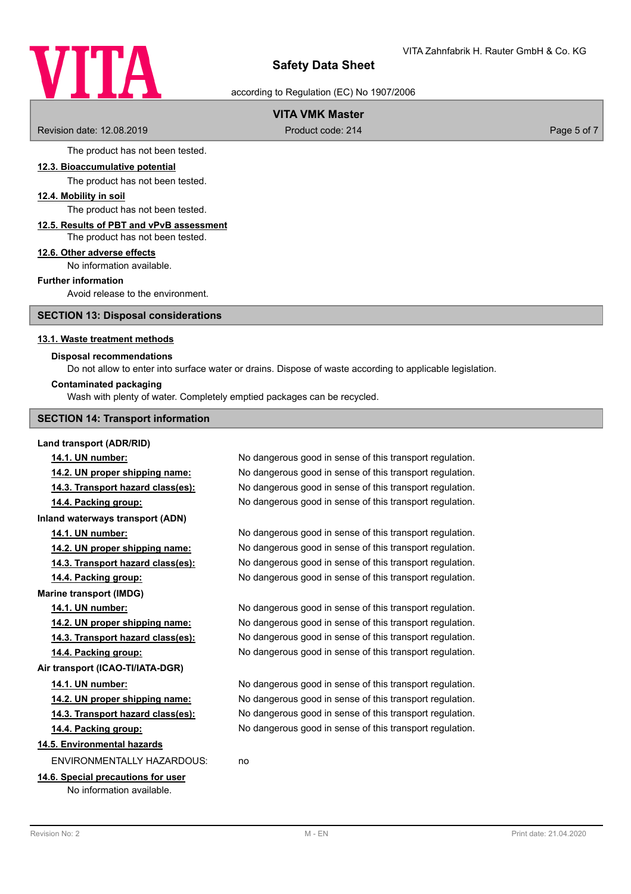

according to Regulation (EC) No 1907/2006

## **VITA VMK Master**

Revision date: 12.08.2019 **Product code: 214** Product code: 214 **Page 5 of 7** Page 5 of 7

The product has not been tested.

#### **12.3. Bioaccumulative potential**

The product has not been tested.

### **12.4. Mobility in soil**

The product has not been tested.

#### **12.5. Results of PBT and vPvB assessment** The product has not been tested.

## **12.6. Other adverse effects**

No information available.

#### **Further information**

Avoid release to the environment.

**SECTION 13: Disposal considerations**

#### **13.1. Waste treatment methods**

#### **Disposal recommendations**

Do not allow to enter into surface water or drains. Dispose of waste according to applicable legislation.

#### **Contaminated packaging**

Wash with plenty of water. Completely emptied packages can be recycled.

#### **SECTION 14: Transport information**

#### **Land transport (ADR/RID)**

**14.2. UN proper shipping name:** No dangerous good in sense of this transport regulation. **14.3. Transport hazard class(es):** No dangerous good in sense of this transport regulation. **14.4. Packing group:** No dangerous good in sense of this transport regulation. **Inland waterways transport (ADN) 14.1. UN number:** No dangerous good in sense of this transport regulation. **14.2. UN proper shipping name:** No dangerous good in sense of this transport regulation. **14.3. Transport hazard class(es):** No dangerous good in sense of this transport regulation. **14.4. Packing group:** No dangerous good in sense of this transport regulation. **Marine transport (IMDG) 14.1. UN number:** No dangerous good in sense of this transport regulation. **14.2. UN proper shipping name:** No dangerous good in sense of this transport regulation. **14.3. Transport hazard class(es):** No dangerous good in sense of this transport regulation. **14.4. Packing group:** No dangerous good in sense of this transport regulation. **Air transport (ICAO-TI/IATA-DGR) 14.1. UN number:** No dangerous good in sense of this transport regulation. **14.2. UN proper shipping name:** No dangerous good in sense of this transport regulation. **14.3. Transport hazard class(es):** No dangerous good in sense of this transport regulation. **14.4. Packing group:** No dangerous good in sense of this transport regulation. **14.5. Environmental hazards** ENVIRONMENTALLY HAZARDOUS: no **14.6. Special precautions for user**

No information available.

**14.1. UN number:** No dangerous good in sense of this transport regulation.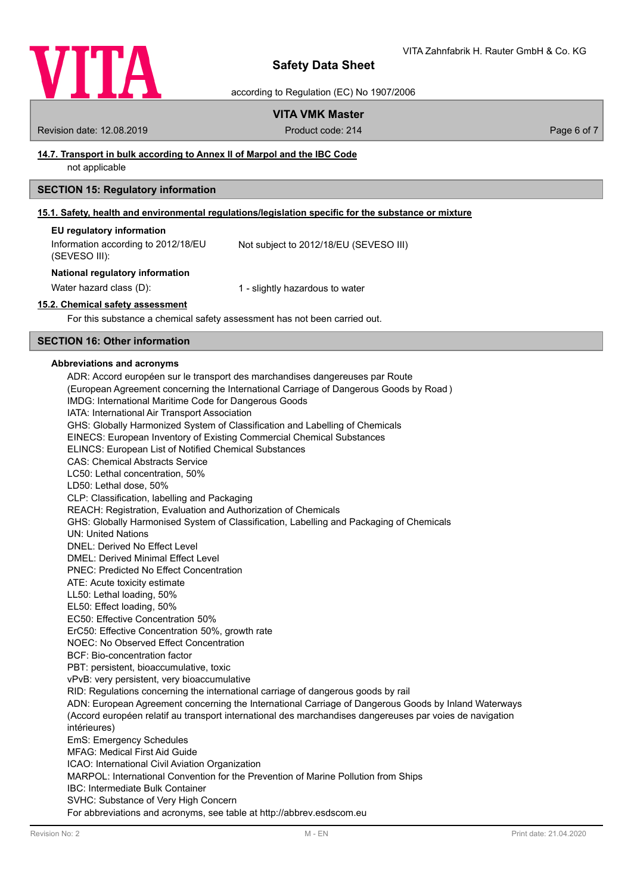

according to Regulation (EC) No 1907/2006

## **VITA VMK Master**

Revision date: 12.08.2019 **Product code: 214** Product code: 214 **Page 6 of 7** Page 6 of 7

### **14.7. Transport in bulk according to Annex II of Marpol and the IBC Code**

not applicable

### **SECTION 15: Regulatory information**

### **15.1. Safety, health and environmental regulations/legislation specific for the substance or mixture**

| EU regulatory information           |                                        |
|-------------------------------------|----------------------------------------|
| Information according to 2012/18/EU | Not subject to 2012/18/EU (SEVESO III) |
| (SEVESO III):                       |                                        |

#### **National regulatory information**

Water hazard class (D): 1 - slightly hazardous to water

#### **15.2. Chemical safety assessment**

For this substance a chemical safety assessment has not been carried out.

## **SECTION 16: Other information**

#### **Abbreviations and acronyms**

ADR: Accord européen sur le transport des marchandises dangereuses par Route (European Agreement concerning the International Carriage of Dangerous Goods by Road ) IMDG: International Maritime Code for Dangerous Goods IATA: International Air Transport Association GHS: Globally Harmonized System of Classification and Labelling of Chemicals EINECS: European Inventory of Existing Commercial Chemical Substances ELINCS: European List of Notified Chemical Substances CAS: Chemical Abstracts Service LC50: Lethal concentration, 50% LD50: Lethal dose, 50% CLP: Classification, labelling and Packaging REACH: Registration, Evaluation and Authorization of Chemicals GHS: Globally Harmonised System of Classification, Labelling and Packaging of Chemicals UN: United Nations DNEL: Derived No Effect Level DMEL: Derived Minimal Effect Level PNEC: Predicted No Effect Concentration ATE: Acute toxicity estimate LL50: Lethal loading, 50% EL50: Effect loading, 50% EC50: Effective Concentration 50% ErC50: Effective Concentration 50%, growth rate NOEC: No Observed Effect Concentration BCF: Bio-concentration factor PBT: persistent, bioaccumulative, toxic vPvB: very persistent, very bioaccumulative RID: Regulations concerning the international carriage of dangerous goods by rail ADN: European Agreement concerning the International Carriage of Dangerous Goods by Inland Waterways (Accord européen relatif au transport international des marchandises dangereuses par voies de navigation intérieures) EmS: Emergency Schedules MFAG: Medical First Aid Guide ICAO: International Civil Aviation Organization MARPOL: International Convention for the Prevention of Marine Pollution from Ships IBC: Intermediate Bulk Container SVHC: Substance of Very High Concern For abbreviations and acronyms, see table at http://abbrev.esdscom.eu